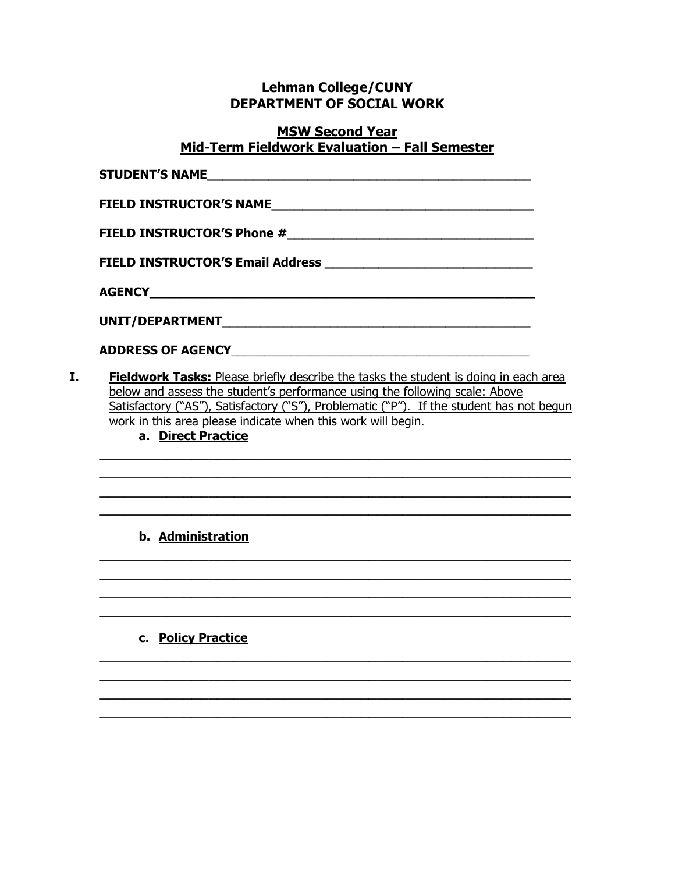### **Lehman College/CUNY DEPARTMENT OF SOCIAL WORK**

### **MSW Second Year Mid-Term Fieldwork Evaluation – Fall Semester**

| FIELD INSTRUCTOR'S Email Address <b>FIELD</b> INSTRUCTOR'S Email Address                                                                                                                                                       |
|--------------------------------------------------------------------------------------------------------------------------------------------------------------------------------------------------------------------------------|
| AGENCY ARE AND A CONTROL CONTROL CONTROL CONTROL CONTROL CONTROL CONTROL CONTROL CONTROL CONTROL CONTROL CONTROL CONTROL CONTROL CONTROL CONTROL CONTROL CONTROL CONTROL CONTROL CONTROL CONTROL CONTROL CONTROL CONTROL CONTR |
|                                                                                                                                                                                                                                |
| ADDRESS OF AGENCY <b>ADDRESS OF AGENCY</b>                                                                                                                                                                                     |

**I. Fieldwork Tasks:** Please briefly describe the tasks the student is doing in each area below and assess the student's performance using the following scale: Above Satisfactory ("AS"), Satisfactory ("S"), Problematic ("P"). If the student has not begun work in this area please indicate when this work will begin.

 $\overline{\phantom{a}}$  , and the contract of the contract of the contract of the contract of the contract of the contract of the contract of the contract of the contract of the contract of the contract of the contract of the contrac  $\overline{\phantom{a}}$  , and the contract of the contract of the contract of the contract of the contract of the contract of the contract of the contract of the contract of the contract of the contract of the contract of the contrac  $\overline{\phantom{a}}$  , and the contract of the contract of the contract of the contract of the contract of the contract of the contract of the contract of the contract of the contract of the contract of the contract of the contrac  $\overline{\phantom{a}}$  , and the contribution of the contribution of the contribution of the contribution of the contribution of the contribution of the contribution of the contribution of the contribution of the contribution of the

 $\mathcal{L}_\text{max}$  , and the contract of the contract of the contract of the contract of the contract of the contract of the contract of the contract of the contract of the contract of the contract of the contract of the contr  $\overline{\phantom{a}}$  , and the contract of the contract of the contract of the contract of the contract of the contract of the contract of the contract of the contract of the contract of the contract of the contract of the contrac  $\overline{\phantom{a}}$  , and the contract of the contract of the contract of the contract of the contract of the contract of the contract of the contract of the contract of the contract of the contract of the contract of the contrac  $\overline{\phantom{a}}$  , and the contract of the contract of the contract of the contract of the contract of the contract of the contract of the contract of the contract of the contract of the contract of the contract of the contrac

 $\overline{\phantom{a}}$  , and the contract of the contract of the contract of the contract of the contract of the contract of the contract of the contract of the contract of the contract of the contract of the contract of the contrac  $\mathcal{L}_\text{max}$  , and the contract of the contract of the contract of the contract of the contract of the contract of the contract of the contract of the contract of the contract of the contract of the contract of the contr  $\overline{\phantom{a}}$  , and the contract of the contract of the contract of the contract of the contract of the contract of the contract of the contract of the contract of the contract of the contract of the contract of the contrac  $\overline{\phantom{a}}$  , and the contract of the contract of the contract of the contract of the contract of the contract of the contract of the contract of the contract of the contract of the contract of the contract of the contrac

**a. Direct Practice**

# **b. Administration**

# **c. Policy Practice**